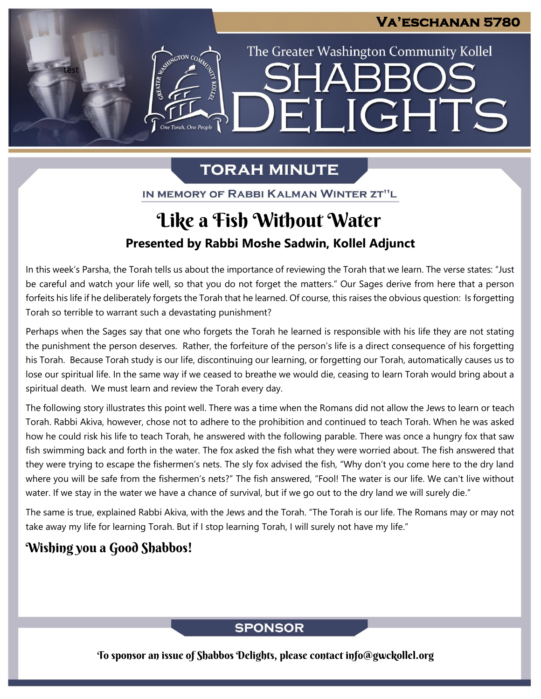The Greater Washington Community Kollel

**ARR** 

ELIGHTS

## **TORAH MINUTE**

IN MEMORY OF RABBI KALMAN WINTER ZT"L

## **Presented by Rabbi Moshe Sadwin, Kollel Adjunct** Like a Fish Without Water

In this week's Parsha, the Torah tells us about the importance of reviewing the Torah that we learn. The verse states: "Just be careful and watch your life well, so that you do not forget the matters." Our Sages derive from here that a person forfeits his life if he deliberately forgets the Torah that he learned. Of course, this raises the obvious question: Is forgetting Torah so terrible to warrant such a devastating punishment?

Perhaps when the Sages say that one who forgets the Torah he learned is responsible with his life they are not stating the punishment the person deserves. Rather, the forfeiture of the person's life is a direct consequence of his forgetting his Torah. Because Torah study is our life, discontinuing our learning, or forgetting our Torah, automatically causes us to lose our spiritual life. In the same way if we ceased to breathe we would die, ceasing to learn Torah would bring about a spiritual death. We must learn and review the Torah every day.

The following story illustrates this point well. There was a time when the Romans did not allow the Jews to learn or teach Torah. Rabbi Akiva, however, chose not to adhere to the prohibition and continued to teach Torah. When he was asked how he could risk his life to teach Torah, he answered with the following parable. There was once a hungry fox that saw fish swimming back and forth in the water. The fox asked the fish what they were worried about. The fish answered that they were trying to escape the fishermen's nets. The sly fox advised the fish, "Why don't you come here to the dry land where you will be safe from the fishermen's nets?" The fish answered, "Fool! The water is our life. We can't live without water. If we stay in the water we have a chance of survival, but if we go out to the dry land we will surely die."

The same is true, explained Rabbi Akiva, with the Jews and the Torah. "The Torah is our life. The Romans may or may not take away my life for learning Torah. But if I stop learning Torah, I will surely not have my life."

## Wishing you a Good Shabbos!

test

### **SPONSOR**

To sponsor an issue of Shabbos Delights, please contact info@gwckollel.org